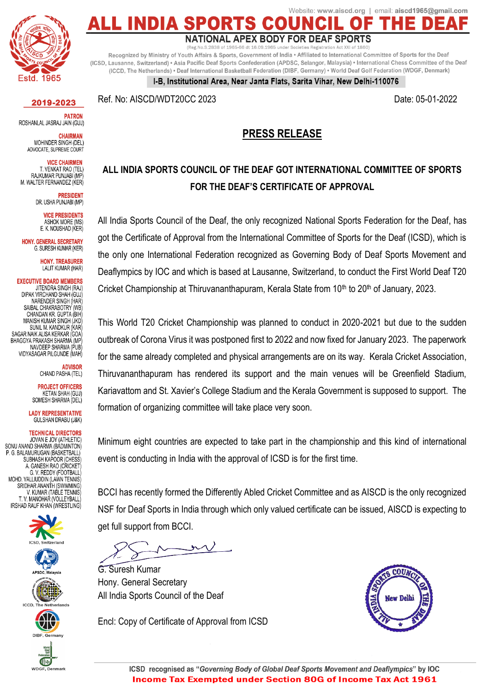

2019-2023

**PATRON** ROSHANLAL JASRAJ JAIN (GUJ)

**CHAIRMAN** MOHINDER SINGH (DEL) ADVOCATE, SUPREME COURT

> **VICE CHAIRMEN** T. VENKAT RAO (TEL)

RAJKUMAR PUNJABI (MP M. WALTER FERNANDEZ (KER)

> **PRESIDENT** DR. USHA PUNJABI (MP)

> > **VICE PRESIDENTS** ASHOK MORE (MS) E. K. NOUSHAD (KER)

**HONY, GENERAL SECRETARY** G. SURESH KUMAR (KER)

> **HONY. TREASURER** LALIT KUMAR (HAR)

**EXECUTIVE BOARD MEMBERS IITENDRA SINGH (RAI)** DIPAK VIRCHAND SHAH (GUI) NARENDER SINGH (HAR) SAIBAL CHAKRABOTRY (WB) CHANDAN KR. GUPTA (BIH) MANISH KUMAR SINGH (JKD SUNIL M. KANDKUR (KAR SAGAR NAIK ALISA KERKAR (GOA) BHAGGYA PRAKASH SHARMA (MP NAVDEEP SHARMA (PUB) VIDYASAGAR PILGUNDE (MAH)

> **ADVISOR** CHAND PASHA (TEL)

**PROJECT OFFICERS** KETAN SHAH (GUJ) SOMESH SHARMA (DEL)

**LADY REPRESENTATIVE GULSHAN DRABU (J&K)** 

**TECHNICAL DIRECTORS** JOVAN E JOY (ATHLETIC)<br>JOVAN E JOY (ATHLETIC)<br>SONU ANAND SHARMA (BADMINTON) P. G. BALAMURUGAN (BASKETBALL) SUBHASH KAPOOR (CHESS) A. GANESH RAO (CRICKET G. V. REDDY (FOOTBALL)<br>G. V. REDDY (FOOTBALL)<br>MOHD. VALLIUDDIN (LAWN TENNIS)<br>SRIDHAR ANANTH (SWIMMING) V. KUMAR (TABLE TENNIS) T. V. MANOHAR (VOLLEYBALL) IRSHAD RAUF KHAN (WRESTLING)











Website: www.aiscd.org | email: aiscd1965@gmail.com **ALL INDIA S** 

#### NATIONAL APEX BODY FOR DEAF SPORTS

S.2838 of 1965-66 dt 16.09.1965 under Registration Act XXI of 1860)

Recognized by Ministry of Youth Affairs & Sports, Government of India . Affiliated to International Committee of Sports for the Deaf (ICSD, Lausanne, Switzerland) • Asia Pacific Deaf Sports Confederation (APDSC, Selangor, Malaysia) • International Chess Committee of the Deaf (ICCD, The Netherlands) • Deaf International Basketball Federation (DIBF, Germany) • World Deaf Golf Federation (WDGF, Denmark)

I-B, Institutional Area, Near Janta Flats, Sarita Vihar, New Delhi-110076

Ref. No: AISCD/WDT20CC 2023 Date: 05-01-2022

#### **PRESS RELEASE**

### **ALL INDIA SPORTS COUNCIL OF THE DEAF GOT INTERNATIONAL COMMITTEE OF SPORTS FOR THE DEAF'S CERTIFICATE OF APPROVAL**

All India Sports Council of the Deaf, the only recognized National Sports Federation for the Deaf, has got the Certificate of Approval from the International Committee of Sports for the Deaf (ICSD), which is the only one International Federation recognized as Governing Body of Deaf Sports Movement and Deaflympics by IOC and which is based at Lausanne, Switzerland, to conduct the First World Deaf T20 Cricket Championship at Thiruvananthapuram, Kerala State from  $10<sup>th</sup>$  to  $20<sup>th</sup>$  of January, 2023.

This World T20 Cricket Championship was planned to conduct in 2020-2021 but due to the sudden outbreak of Corona Virus it was postponed first to 2022 and now fixed for January 2023. The paperwork for the same already completed and physical arrangements are on its way. Kerala Cricket Association, Thiruvananthapuram has rendered its support and the main venues will be Greenfield Stadium, Kariavattom and St. Xavier's College Stadium and the Kerala Government is supposed to support. The formation of organizing committee will take place very soon.

Minimum eight countries are expected to take part in the championship and this kind of international event is conducting in India with the approval of ICSD is for the first time.

BCCI has recently formed the Differently Abled Cricket Committee and as AISCD is the only recognized NSF for Deaf Sports in India through which only valued certificate can be issued, AISCD is expecting to get full support from BCCI.

G. Suresh Kumar Hony. General Secretary All India Sports Council of the Deaf

Encl: Copy of Certificate of Approval from ICSD